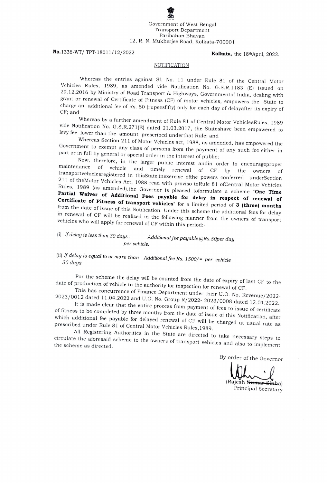Government of West Bengal Transport Department Paribahan Bhavan 12, R. N. Mukherjee Road, Kolkata-700001

## No.1336-WT/ TPT-18011/12/2022 Kolkata, the 18thApril, 2022.

#### NOTIFICATION

Whereas the entries against SI. No. 11 under Rule 81 of the Central Motor Vehicles Rules, 1989, as amended vide Notification No. G.S.R. 1 183 (E) issued on 29.12.2016 by Ministry of Road Transport & Highways, Governmentof India, dealing with grant or renewal of Certificate of Fitness (CF) of motor vehicles, empowers the State to charge an additional fee of Rs. 50 (rupeesfifty) only for each day of delayafter its expiry of CF; and

Whereas by a further amendment of Rule 81 of Central Motor VehiclesRules, 1989<br>vide Notification No. G.S.R.271(E) dated 21.03.2017, the Stateshave been empowered to<br>levy fee lower than the amount prescribed underthat Rule;

Government to exempt any class of persons from the payment of any such fee either in part or in full by general or special order in the interest of public;

Now, therefore, in the larger public interest and<br>in order to encourage proper maintenance of vehicle and timely renewal of CF by the owners of 211 of the Motor Vehicles Act, 1988 read with proviso to Rule 81 of Central Motor Vehicles<br>Rules, 1989 (as amended), the Governor is pleased to formulate a scheme "One Time Partial Waiver of Additional Fees payable for delay in respect of renewal of Certificate of Fitness of transport vehicles" for a limited period of 3 (three) months from the date of issue of this Notification. Under this sc transportvehiclesregistered in thisState, inexercise of the powers conferred underSection in renewal of CF will be realized in the following manner from the owners of transport vehicles who will apply for renewal of CF within this period:-

## (i) If delay is less than 30 days: Additional fee payable  $@Rs.50$ per day per vehicle.

(ii) If delay is equal to or more than Additional fee Rs. 1500/= per vehicle  $30$  days

For the scheme the delay will be counted from the date of expiry of last CF to the<br>date of production of vehicle to the authority for inspection for renewal of CF.<br>This has concurrence of Finance Department under their U.O

of fitness to be completed by three months from the date of issue of this Notification, after which additional fee payable for delayed renewal of CF will be charged at usual rate as prescribed under Rule 81 of Central Motor Vehicles Rules, 1989.

All Registering Authorities in the State are directed to take necessary steps to circulate the aforesaid scheme to the owners of transport vehicles and also to implement the scheme as directed.

By order of the Governor

(Rajesh Kumar Sinha) Principal Secretary